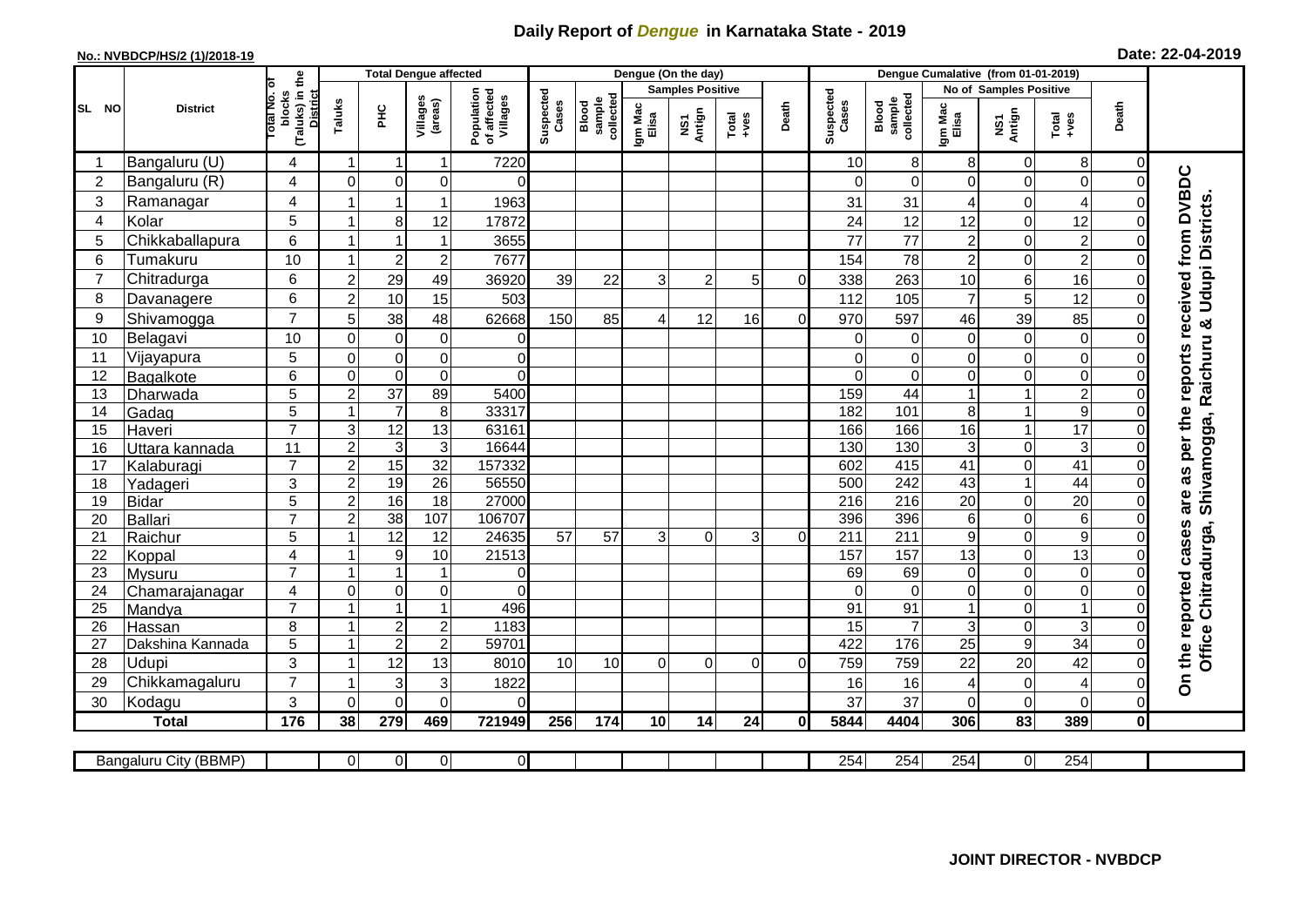## **Daily Report of** *Dengue* **in Karnataka State - 2019**

## **No.: NVBDCP/HS/2 (1)/2018-19 Date: 22-04-2019**

|                 | <b>District</b>       |                                                             |                |                  | <b>Total Dengue affected</b> |                                       |                    |                              |                         | Dengue (On the day) |          |              |                    |                              |                        |                |                 |                |                                        |
|-----------------|-----------------------|-------------------------------------------------------------|----------------|------------------|------------------------------|---------------------------------------|--------------------|------------------------------|-------------------------|---------------------|----------|--------------|--------------------|------------------------------|------------------------|----------------|-----------------|----------------|----------------------------------------|
|                 |                       |                                                             |                |                  |                              |                                       |                    |                              | <b>Samples Positive</b> |                     |          |              |                    |                              | No of Samples Positive |                |                 |                |                                        |
| SL NO           |                       | (Taluks) in the<br>otal No. of<br>blocks<br><b>District</b> | Taluks         | Ξ                | Villages<br>(areas)          | Population<br>of affected<br>Villages | Suspected<br>Cases | sample<br>collected<br>Blood | Igm Mac<br>Elisa        | NS1<br>Antign       | $Totael$ | Death        | Suspected<br>Cases | Blood<br>sample<br>collected | Igm Mac<br>Elisa       | NS1<br>Antign  | Total<br>+ves   | Death          |                                        |
|                 | Bangaluru (U)         | 4                                                           | -1             |                  | 1                            | 7220                                  |                    |                              |                         |                     |          |              | 10                 | 8 <sup>1</sup>               | 8                      | $\mathbf 0$    | 8               | 0              |                                        |
| $\overline{2}$  | Bangaluru (R)         | 4                                                           | $\mathbf 0$    | $\mathbf 0$      | $\mathbf 0$                  | $\Omega$                              |                    |                              |                         |                     |          |              | $\Omega$           | $\mathbf 0$                  | $\overline{O}$         | $\mathbf 0$    | $\mathbf 0$     | $\Omega$       |                                        |
| 3               | Ramanagar             | 4                                                           |                |                  | 1                            | 1963                                  |                    |                              |                         |                     |          |              | 31                 | 31                           | 4                      | $\mathbf 0$    | 4               |                | as per the reports received from DVBDC |
| $\overline{4}$  | Kolar                 | 5                                                           |                | 8                | 12                           | 17872                                 |                    |                              |                         |                     |          |              | 24                 | 12                           | 12                     | $\mathbf 0$    | 12              | $\Omega$       |                                        |
| 5               | Chikkaballapura       | $6\phantom{1}$                                              |                |                  | $\mathbf 1$                  | 3655                                  |                    |                              |                         |                     |          |              | 77                 | 77                           | $\overline{2}$         | $\mathbf 0$    | $\mathbf 2$     | $\Omega$       |                                        |
| 6               | Tumakuru              | 10                                                          |                | $\overline{c}$   | $\overline{c}$               | 7677                                  |                    |                              |                         |                     |          |              | 154                | 78                           | $\overline{2}$         | $\mathbf 0$    | $\overline{c}$  | $\Omega$       |                                        |
| $\overline{7}$  | Chitradurga           | 6                                                           | $\overline{2}$ | 29               | 49                           | 36920                                 | 39                 | 22                           | 3                       | $\overline{2}$      | 5        | $\Omega$     | 338                | 263                          | 10                     | 6              | 16              | $\Omega$       |                                        |
| 8               | Davanagere            | $6\phantom{1}$                                              | $\overline{2}$ | 10               | 15                           | 503                                   |                    |                              |                         |                     |          |              | 112                | 105                          | $\overline{7}$         | 5              | 12              | $\Omega$       | Udupi Districts                        |
| 9               | Shivamogga            | $\overline{7}$                                              | 5              | 38               | 48                           | 62668                                 | 150                | 85                           |                         | 12                  | 16       | $\Omega$     | 970                | 597                          | 46                     | 39             | 85              | $\Omega$       |                                        |
| 10              | Belagavi              | 10                                                          | $\Omega$       | $\mathbf 0$      | $\mathbf 0$                  | $\overline{0}$                        |                    |                              |                         |                     |          |              | $\Omega$           | $\Omega$                     | $\overline{O}$         | $\mathbf 0$    | $\mathbf 0$     | $\Omega$       | Raichuru &                             |
| 11              | Vijayapura            | 5                                                           | $\mathbf 0$    | $\pmb{0}$        | $\mathbf 0$                  | $\mathbf 0$                           |                    |                              |                         |                     |          |              | 0                  | $\mathbf 0$                  | $\mathbf 0$            | $\mathbf 0$    | $\mathbf 0$     | 0              |                                        |
| 12              | Bagalkote             | $6\phantom{1}$                                              | $\mathbf 0$    | $\mathbf 0$      | $\overline{0}$               | $\overline{0}$                        |                    |                              |                         |                     |          |              | $\Omega$           | $\mathbf 0$                  | $\overline{O}$         | $\mathbf 0$    | $\overline{0}$  | $\Omega$       |                                        |
| 13              | Dharwada              | $\overline{5}$                                              | $\overline{2}$ | $\overline{37}$  | 89                           | 5400                                  |                    |                              |                         |                     |          |              | 159                | 44                           | 1                      | $\overline{1}$ | $\overline{2}$  | $\Omega$       |                                        |
| 14              | Gadag                 | 5                                                           |                | $\overline{7}$   | $\,8\,$                      | 33317                                 |                    |                              |                         |                     |          |              | 182                | 101                          | 8                      | $\mathbf{1}$   | $\overline{9}$  | $\Omega$       |                                        |
| 15              | Haveri                | $\overline{7}$                                              | 3              | 12               | 13                           | 63161                                 |                    |                              |                         |                     |          |              | 166                | 166                          | $\overline{16}$        | $\mathbf{1}$   | 17              | $\Omega$       |                                        |
| 16              | Uttara kannada        | 11                                                          | $\overline{2}$ | $\mathbf{3}$     | 3                            | 16644                                 |                    |                              |                         |                     |          |              | 130                | 130                          | $\mathbf{3}$           | $\mathbf 0$    | $\mathsf 3$     | 0              | Shivamogga,                            |
| 17              | Kalaburagi            | $\overline{7}$                                              | $\overline{2}$ | 15               | $\overline{32}$              | 157332                                |                    |                              |                         |                     |          |              | 602                | 415                          | $\overline{41}$        | $\mathbf 0$    | 41              | $\Omega$       |                                        |
| 18              | Yadageri              | 3                                                           | $\overline{2}$ | 19               | 26                           | 56550                                 |                    |                              |                         |                     |          |              | 500                | 242                          | 43                     | $\mathbf{1}$   | 44              | 0              |                                        |
| 19              | Bidar                 | 5                                                           | $\overline{2}$ | 16               | $\overline{18}$              | 27000                                 |                    |                              |                         |                     |          |              | 216                | 216                          | $\overline{20}$        | $\mathbf 0$    | $\overline{20}$ | $\Omega$       | are                                    |
| 20              | Ballari               | $\overline{7}$                                              | $\overline{2}$ | $\overline{38}$  | 107                          | 106707                                |                    |                              |                         |                     |          |              | 396                | 396                          | $6\phantom{a}$         | $\mathbf 0$    | $\overline{6}$  | $\Omega$       |                                        |
| 21              | Raichur               | 5                                                           |                | $\overline{12}$  | 12                           | 24635                                 | 57                 | 57                           | 3                       | $\Omega$            | 3        | 0            | 211                | $\overline{211}$             | $\boldsymbol{9}$       | $\mathbf 0$    | $\overline{9}$  | $\Omega$       | Chitradurga,                           |
| 22              | Koppal                | $\overline{4}$                                              |                | 9                | 10                           | 21513                                 |                    |                              |                         |                     |          |              | 157                | 157                          | 13                     | $\mathbf 0$    | 13              | $\Omega$       |                                        |
| 23              | Mysuru                | $\overline{7}$                                              |                | $\overline{1}$   | 1                            | $\overline{0}$                        |                    |                              |                         |                     |          |              | 69                 | 69                           | $\overline{O}$         | $\mathbf 0$    | $\mathbf 0$     | $\Omega$       |                                        |
| 24              | Chamarajanagar        | $\overline{4}$                                              | $\mathbf 0$    | $\boldsymbol{0}$ | 0                            | $\Omega$                              |                    |                              |                         |                     |          |              | $\Omega$           | $\Omega$                     | $\overline{0}$         | $\mathbf 0$    | $\mathsf 0$     | $\Omega$       |                                        |
| $\overline{25}$ | Mandya                | $\overline{7}$                                              |                |                  | $\overline{1}$               | 496                                   |                    |                              |                         |                     |          |              | 91                 | 91                           | $\overline{1}$         | $\mathbf 0$    | $\mathbf{1}$    | $\Omega$       |                                        |
| 26              | Hassan                | 8                                                           |                | $\overline{2}$   | $\overline{c}$               | 1183<br>59701                         |                    |                              |                         |                     |          |              | 15                 | $\overline{7}$               | 3                      | $\mathbf 0$    | 3               | $\mathbf 0$    |                                        |
| 27              | Dakshina Kannada      | $\overline{5}$                                              |                | $\overline{2}$   | $\overline{2}$               |                                       |                    |                              |                         |                     |          |              | 422                | 176                          | $\overline{25}$        | $\overline{9}$ | 34              | $\overline{0}$ | Office                                 |
| 28              | <b>Udupi</b>          | 3<br>$\overline{7}$                                         |                | 12               | 13                           | 8010                                  | 10                 | 10                           | $\Omega$                | $\Omega$            | $\Omega$ | $\Omega$     | 759                | 759                          | 22                     | 20             | 42              | 0              | On the reported cases                  |
| 29              | Chikkamagaluru        |                                                             |                | 3                | 3                            | 1822                                  |                    |                              |                         |                     |          |              | 16                 | 16                           | 4                      | $\mathbf 0$    | 4               | $\Omega$       |                                        |
| 30              | Kodagu                | 3                                                           | $\Omega$       | $\Omega$         | $\Omega$                     | $\Omega$                              |                    |                              |                         |                     |          |              | 37                 | 37                           | $\overline{0}$         | $\mathbf 0$    | $\mathbf 0$     | $\Omega$       |                                        |
|                 | <b>Total</b>          | 176                                                         | 38             | 279              | 469                          | 721949                                | 256                | 174                          | 10                      | 14                  | 24       | $\mathbf{0}$ | 5844               | 4404                         | 306                    | 83             | 389             | $\mathbf{0}$   |                                        |
|                 | Bangaluru City (BBMP) |                                                             | $\overline{0}$ | $\overline{0}$   | $\overline{0}$               | $\overline{0}$                        |                    |                              |                         |                     |          |              | 254                | 254                          | 254                    | $\overline{0}$ | 254             |                |                                        |